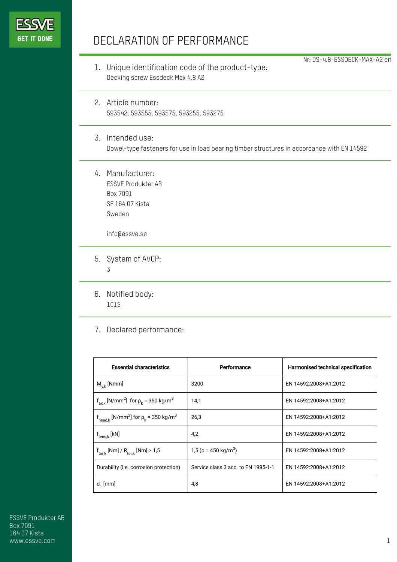

## DECLARATION OF PERFORMANCE

1. Unique identification code of the product-type: Decking screw Essdeck Max 4,8 A2

Nr: DS-4.8-ESSDECK-MAX-A2 en

- 2. Article number: 593542, 593555, 593575, 593255, 593275
- 3. Intended use: Dowel-type fasteners for use in load bearing timber structures in accordance with EN 14592
- 4. Manufacturer: ESSVE Produkter AB Box 7091 SE 164 07 Kista Sweden

info@essve.se

- 5. System of AVCP: 3
- 6. Notified body: 1015
- 7. Declared performance:

| <b>Essential characteristics</b>                                              | Performance                            | Harmonised technical specification |
|-------------------------------------------------------------------------------|----------------------------------------|------------------------------------|
| $M_{v,k}$ [Nmm]                                                               | 3200                                   | EN 14592:2008+A1:2012              |
| $f_{axk}$ [N/mm <sup>2</sup> ] for $\rho_k$ = 350 kg/m <sup>3</sup>           | 14,1                                   | EN 14592:2008+A1:2012              |
| $f_{\text{head},k}$ [N/mm <sup>2</sup> ] for $\rho_k$ = 350 kg/m <sup>3</sup> | 26,3                                   | EN 14592:2008+A1:2012              |
| $f_{tens.k}$ [kN]                                                             | 4,2                                    | EN 14592:2008+A1:2012              |
| $f_{\text{tor},k}$ [Nm] / $R_{\text{tor},k}$ [Nm] $\geq 1.5$                  | 1,5 ( $\rho$ = 450 kg/m <sup>3</sup> ) | EN 14592:2008+A1:2012              |
| Durability (i.e. corrosion protection)                                        | Service class 3 acc. to EN 1995-1-1    | EN 14592:2008+A1:2012              |
| $d_1$ [mm]                                                                    | 4,8                                    | EN 14592:2008+A1:2012              |